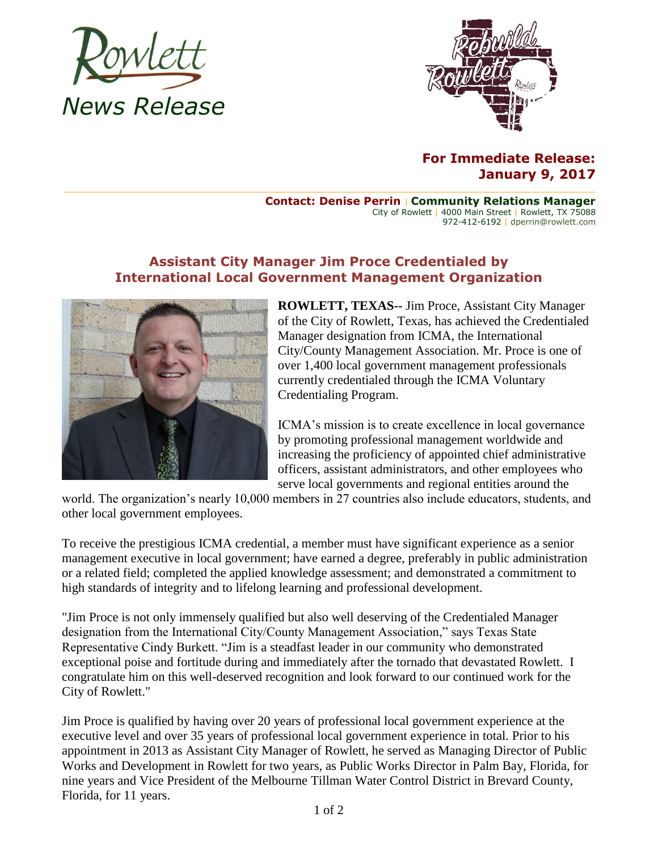



## **For Immediate Release: January 9, 2017**

**Contact: Denise Perrin** | **Community Relations Manager** City of Rowlett | 4000 Main Street | Rowlett, TX 75088 972-412-6192 | dperrin@rowlett.com

## **Assistant City Manager Jim Proce Credentialed by International Local Government Management Organization**



**ROWLETT, TEXAS--** Jim Proce, Assistant City Manager of the City of Rowlett, Texas, has achieved the Credentialed Manager designation from ICMA, the International City/County Management Association. Mr. Proce is one of over 1,400 local government management professionals currently credentialed through the ICMA Voluntary Credentialing Program.

ICMA's mission is to create excellence in local governance by promoting professional management worldwide and increasing the proficiency of appointed chief administrative officers, assistant administrators, and other employees who serve local governments and regional entities around the

world. The organization's nearly 10,000 members in 27 countries also include educators, students, and other local government employees.

To receive the prestigious ICMA credential, a member must have significant experience as a senior management executive in local government; have earned a degree, preferably in public administration or a related field; completed the applied knowledge assessment; and demonstrated a commitment to high standards of integrity and to lifelong learning and professional development.

"Jim Proce is not only immensely qualified but also well deserving of the Credentialed Manager designation from the International City/County Management Association," says Texas State Representative Cindy Burkett. "Jim is a steadfast leader in our community who demonstrated exceptional poise and fortitude during and immediately after the tornado that devastated Rowlett. I congratulate him on this well-deserved recognition and look forward to our continued work for the City of Rowlett."

Jim Proce is qualified by having over 20 years of professional local government experience at the executive level and over 35 years of professional local government experience in total. Prior to his appointment in 2013 as Assistant City Manager of Rowlett, he served as Managing Director of Public Works and Development in Rowlett for two years, as Public Works Director in Palm Bay, Florida, for nine years and Vice President of the Melbourne Tillman Water Control District in Brevard County, Florida, for 11 years.